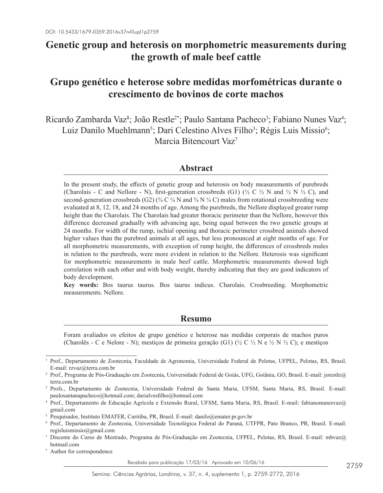## **Genetic group and heterosis on morphometric measurements during the growth of male beef cattle**

# **Grupo genético e heterose sobre medidas morfométricas durante o crescimento de bovinos de corte machos**

Ricardo Zambarda Vaz<sup>1</sup>; João Restle<sup>2\*</sup>; Paulo Santana Pacheco<sup>3</sup>; Fabiano Nunes Vaz<sup>4</sup>; Luiz Danilo Muehlmann<sup>5</sup>; Dari Celestino Alves Filho<sup>3</sup>; Régis Luis Missio<sup>6</sup>; Marcia Bitencourt Vaz7

### **Abstract**

In the present study, the effects of genetic group and heterosis on body measurements of purebreds (Charolais - C and Nellore - N), first-generation crossbreds (G1) ( $\frac{1}{2}$  C  $\frac{1}{2}$  N and  $\frac{1}{2}$  N  $\frac{1}{2}$  C), and second-generation crossbreds (G2) ( $\frac{3}{4}$  C  $\frac{1}{4}$  N and  $\frac{3}{4}$  N  $\frac{1}{4}$  C) males from rotational crossbreeding were evaluated at 8, 12, 18, and 24 months of age. Among the purebreds, the Nellore displayed greater rump height than the Charolais. The Charolais had greater thoracic perimeter than the Nellore, however this difference decreased gradually with advancing age, being equal between the two genetic groups at 24 months. For width of the rump, ischial opening and thoracic perimeter crossbred animals showed higher values than the purebred animals at all ages, but less pronounced at eight months of age. For all morphometric measurements, with exception of rump height, the differences of crossbreds males in relation to the purebreds, were more evident in relation to the Nellore. Heterosis was significant for morphometric measurements in male beef cattle. Morphometric measurements showed high correlation with each other and with body weight, thereby indicating that they are good indicators of body development.

**Key words:** Bos taurus taurus. Bos taurus indicus. Charolais. Crosbreeding. Morphometric measurements. Nellore.

## **Resumo**

Foram avaliados os efeitos de grupo genético e heterose nas medidas corporais de machos puros (Charolês - C e Nelore - N); mestiços de primeira geração (G1) (½ C ½ N e ½ N ½ C); e mestiços

Recebido para publicação 17/03/16 Aprovado em 10/06/16

<sup>1</sup> Prof., Departamento de Zootecnia, Faculdade de Agronomia, Universidade Federal de Pelotas, UFPEL, Pelotas, RS, Brasil. E-mail: rzvaz@terra.com.br

<sup>2</sup> Prof., Programa de Pós-Graduação em Zootecnia, Universidade Federal de Goiás, UFG, Goiânia, GO, Brasil. E-mail: jorestle@ terra.com.br

<sup>3</sup> Profs., Departamento de Zootecnia, Universidade Federal de Santa Maria, UFSM, Santa Maria, RS, Brasil. E-mail: paulosantanapacheco@hotmail.com; darialvesfilho@hotmail.com

<sup>4</sup> Prof., Departamento de Educação Agrícola e Extensão Rural, UFSM, Santa Maria, RS, Brasil. E-mail: fabianonunesvaz@ gmail.com

<sup>5</sup> Pesquisador, Instituto EMATER, Curitiba, PR, Brasil. E-mail: danilo@emater.pr.gov.br

<sup>6</sup> Prof., Departamento de Zootecnia, Universidade Tecnológica Federal do Paraná, UTFPR, Pato Branco, PR, Brasil. E-mail: regisluismissio@gmail.com

<sup>7</sup> Discente do Curso de Mestrado, Programa de Pós-Graduação em Zootecnia, UFPEL, Pelotas, RS, Brasil. E-mail: mbvaz@ hotmail.com

<sup>\*</sup> Author for correspondence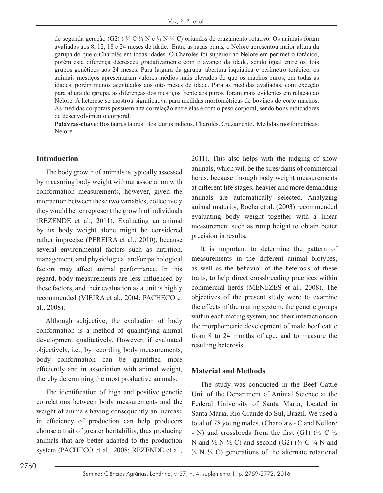de segunda geração (G2) ( $\frac{3}{4}$  C  $\frac{1}{4}$  N e  $\frac{3}{4}$  N  $\frac{1}{4}$  C) oriundos de cruzamento rotativo. Os animais foram avaliados aos 8, 12, 18 e 24 meses de idade. Entre as raças puras, o Nelore apresentou maior altura da garupa do que o Charolês em todas idades. O Charolês foi superior ao Nelore em perímetro torácico, porém esta diferença decresceu gradativamente com o avanço da idade, sendo igual entre os dois grupos genéticos aos 24 meses. Para largura da garupa, abertura isquiática e perímetro torácico, os animais mestiços apresentaram valores médios mais elevados do que os machos puros, em todas as idades, porém menos acentuados aos oito meses de idade. Para as medidas avaliadas, com exceção para altura de garupa, as diferenças dos mestiços frente aos puros, foram mais evidentes em relação ao Nelore. A heterose se mostrou significativa para medidas morfométricas de bovinos de corte machos. As medidas corporais possuem alta correlação entre elas e com o peso corporal, sendo bons indicadores de desenvolvimento corporal.

**Palavras-chave**: Bos taurus taurus. Bos taurus indicus. Charolês. Cruzamento. Medidas morfometricas. Nelore.

#### **Introduction**

The body growth of animals is typically assessed by measuring body weight without association with conformation measurements, however, given the interaction between these two variables, collectively they would better represent the growth of individuals (REZENDE et al., 2011). Evaluating an animal by its body weight alone might be considered rather imprecise (PEREIRA et al., 2010), because several environmental factors such as nutrition, management, and physiological and/or pathological factors may affect animal performance. In this regard, body measurements are less influenced by these factors, and their evaluation as a unit is highly recommended (VIEIRA et al., 2004; PACHECO et al., 2008).

Although subjective, the evaluation of body conformation is a method of quantifying animal development qualitatively. However, if evaluated objectively, i.e., by recording body measurements, body conformation can be quantified more efficiently and in association with animal weight, thereby determining the most productive animals.

The identification of high and positive genetic correlations between body measurements and the weight of animals having consequently an increase in efficiency of production can help producers choose a trait of greater heritability, thus producing animals that are better adapted to the production system (PACHECO et al., 2008; REZENDE et al.,

2011). This also helps with the judging of show animals, which will be the sires/dams of commercial herds, because through body weight measurements at different life stages, heavier and more demanding animals are automatically selected. Analyzing animal maturity, Rocha et al. (2003) recommended evaluating body weight together with a linear measurement such as rump height to obtain better precision in results.

It is important to determine the pattern of measurements in the different animal biotypes, as well as the behavior of the heterosis of these traits, to help direct crossbreeding practices within commercial herds (MENEZES et al., 2008). The objectives of the present study were to examine the effects of the mating system, the genetic groups within each mating system, and their interactions on the morphometric development of male beef cattle from 8 to 24 months of age, and to measure the resulting heterosis.

#### **Material and Methods**

The study was conducted in the Beef Cattle Unit of the Department of Animal Science at the Federal University of Santa Maria, located in Santa Maria, Rio Grande do Sul, Brazil. We used a total of 78 young males, (Charolais - C and Nellore - N) and crossbreds from the first (G1) ( $\frac{1}{2}$  C  $\frac{1}{2}$ N and  $\frac{1}{2}$  N  $\frac{1}{2}$  C) and second (G2) ( $\frac{3}{4}$  C  $\frac{1}{4}$  N and  $\frac{3}{4}$  N  $\frac{1}{4}$  C) generations of the alternate rotational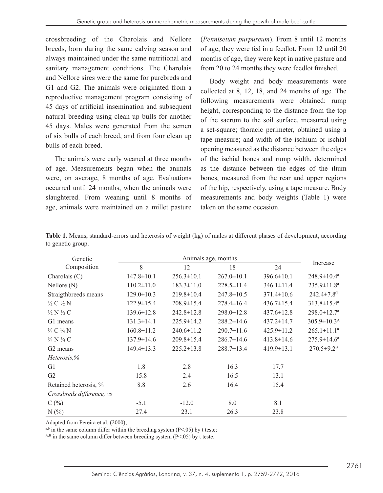crossbreeding of the Charolais and Nellore breeds, born during the same calving season and always maintained under the same nutritional and sanitary management conditions. The Charolais and Nellore sires were the same for purebreds and G1 and G2. The animals were originated from a reproductive management program consisting of 45 days of artificial insemination and subsequent natural breeding using clean up bulls for another 45 days. Males were generated from the semen of six bulls of each breed, and from four clean up bulls of each breed.

The animals were early weaned at three months of age. Measurements began when the animals were, on average, 8 months of age. Evaluations occurred until 24 months, when the animals were slaughtered. From weaning until 8 months of age, animals were maintained on a millet pasture

(*Pennisetum purpureum*). From 8 until 12 months of age, they were fed in a feedlot. From 12 until 20 months of age, they were kept in native pasture and from 20 to 24 months they were feedlot finished.

Body weight and body measurements were collected at 8, 12, 18, and 24 months of age. The following measurements were obtained: rump height, corresponding to the distance from the top of the sacrum to the soil surface, measured using a set-square; thoracic perimeter, obtained using a tape measure; and width of the ischium or ischial opening measured as the distance between the edges of the ischial bones and rump width, determined as the distance between the edges of the ilium bones, measured from the rear and upper regions of the hip, respectively, using a tape measure. Body measurements and body weights (Table 1) were taken on the same occasion.

| Genetic                         | Animals age, months |                  |                  |                  |                               |
|---------------------------------|---------------------|------------------|------------------|------------------|-------------------------------|
| Composition                     | 8                   | 12               | 18               | 24               | Increase                      |
| Charolais $(C)$                 | $147.8 \pm 10.1$    | $256.3 \pm 10.1$ | $267.0 \pm 10.1$ | $396.6 \pm 10.1$ | $248.9 \pm 10.4^a$            |
| $N$ ellore $(N)$                | $110.2 \pm 11.0$    | $183.3 \pm 11.0$ | $228.5 \pm 11.4$ | $346.1 \pm 11.4$ | $235.9 \pm 11.8^a$            |
| Straigthbreeds means            | $129.0 \pm 10.3$    | $219.8 \pm 10.4$ | $247.8 \pm 10.5$ | $371.4 \pm 10.6$ | 242.4±7.8 <sup>c</sup>        |
| $\frac{1}{2}$ C $\frac{1}{2}$ N | $122.9 \pm 15.4$    | $208.9 \pm 15.4$ | $278.4 \pm 16.4$ | $436.7 \pm 15.4$ | $313.8 \pm 15.4^a$            |
| $\frac{1}{2}N\frac{1}{2}C$      | $139.6 \pm 12.8$    | $242.8 \pm 12.8$ | $298.0 \pm 12.8$ | $437.6 \pm 12.8$ | $298.0 \pm 12.7^{\mathrm{a}}$ |
| G1 means                        | $131.3 \pm 14.1$    | $225.9 \pm 14.2$ | $288.2 \pm 14.6$ | $437.2 \pm 14.7$ | $305.9 \pm 10.3^{\text{A}}$   |
| $\frac{3}{4}$ C $\frac{1}{4}$ N | $160.8 \pm 11.2$    | $240.6 \pm 11.2$ | $290.7 \pm 11.6$ | $425.9 \pm 11.2$ | $265.1 \pm 11.1^a$            |
| $\frac{3}{4}$ N $\frac{1}{4}$ C | $137.9 \pm 14.6$    | $209.8 \pm 15.4$ | $286.7 \pm 14.6$ | $413.8 \pm 14.6$ | $275.9 \pm 14.6^a$            |
| G <sub>2</sub> means            | $149.4 \pm 13.3$    | $225.2 \pm 13.8$ | $288.7 \pm 13.4$ | $419.9 \pm 13.1$ | $270.5 \pm 9.2^B$             |
| Heterosis,%                     |                     |                  |                  |                  |                               |
| G1                              | 1.8                 | 2.8              | 16.3             | 17.7             |                               |
| G2                              | 15.8                | 2.4              | 16.5             | 13.1             |                               |
| Retained heterosis, %           | 8.8                 | 2.6              | 16.4             | 15.4             |                               |
| Crossbreds difference, vs       |                     |                  |                  |                  |                               |
| C(%)                            | $-5.1$              | $-12.0$          | 8.0              | 8.1              |                               |
| N(%                             | 27.4                | 23.1             | 26.3             | 23.8             |                               |

**Table 1.** Means, standard-errors and heterosis of weight (kg) of males at different phases of development, according to genetic group.

Adapted from Pereira et al. (2000);

 $a,b$  in the same column differ within the breeding system (P<.05) by t teste;

 $A,B$  in the same column differ between breeding system (P<.05) by t teste.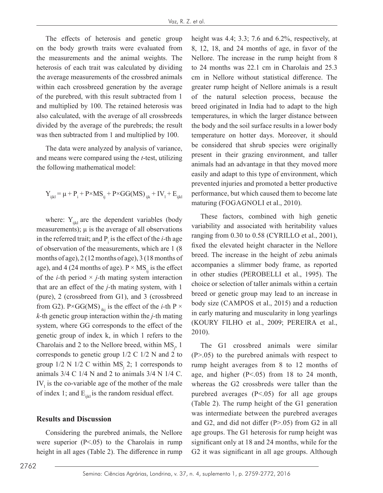The effects of heterosis and genetic group on the body growth traits were evaluated from the measurements and the animal weights. The heterosis of each trait was calculated by dividing the average measurements of the crossbred animals within each crossbreed generation by the average of the purebred, with this result subtracted from 1 and multiplied by 100. The retained heterosis was also calculated, with the average of all crossbreeds divided by the average of the purebreds; the result was then subtracted from 1 and multiplied by 100.

The data were analyzed by analysis of variance, and means were compared using the *t*-test, utilizing the following mathematical model:

$$
Y_{ijkl} = \mu + P_i + P \times MS_{ij} + P \times GG(MS)_{ijk} + IV_i + E_{ijkl}
$$

where:  $Y_{ijkl}$  are the dependent variables (body measurements);  $\mu$  is the average of all observations in the referred trait; and  $P_i$  is the effect of the *i*-th age of observation of the measurements, which are 1 (8 months of age), 2 (12 months of age), 3 (18 months of age), and 4 (24 months of age).  $P \times MS_{ij}$  is the effect of the *i*-th period  $\times$  *j*-th mating system interaction that are an effect of the *j-*th mating system, with 1 (pure), 2 (crossbreed from G1), and 3 (crossbreed from G2). P×GG(MS)<sub>iki</sub> is the effect of the *i*-th P  $\times$ *k-*th genetic group interaction within the *j-*th mating system, where GG corresponds to the effect of the genetic group of index k, in which 1 refers to the Charolais and 2 to the Nellore breed, within  $MS_j$ , 1 corresponds to genetic group 1/2 C 1/2 N and 2 to group  $1/2$  N  $1/2$  C within MS<sub>j</sub> 2; 1 corresponds to animals  $3/4$  C  $1/4$  N and 2 to animals  $3/4$  N  $1/4$  C.  $IV<sub>1</sub>$  is the co-variable age of the mother of the male of index 1; and  $E_{ijkl}$  is the random residual effect.

#### **Results and Discussion**

Considering the purebred animals, the Nellore were superior  $(P<.05)$  to the Charolais in rump height in all ages (Table 2). The difference in rump height was 4.4; 3.3; 7.6 and 6.2%, respectively, at 8, 12, 18, and 24 months of age, in favor of the Nellore. The increase in the rump height from 8 to 24 months was 22.1 cm in Charolais and 25.3 cm in Nellore without statistical difference. The greater rump height of Nellore animals is a result of the natural selection process, because the breed originated in India had to adapt to the high temperatures, in which the larger distance between the body and the soil surface results in a lower body temperature on hotter days. Moreover, it should be considered that shrub species were originally present in their grazing environment, and taller animals had an advantage in that they moved more easily and adapt to this type of environment, which prevented injuries and promoted a better productive performance, but which caused them to become late maturing (FOGAGNOLI et al., 2010).

These factors, combined with high genetic variability and associated with heritability values ranging from 0.30 to 0.58 (CYRILLO et al., 2001), fixed the elevated height character in the Nellore breed. The increase in the height of zebu animals accompanies a slimmer body frame, as reported in other studies (PEROBELLI et al., 1995). The choice or selection of taller animals within a certain breed or genetic group may lead to an increase in body size (CAMPOS et al., 2015) and a reduction in early maturing and muscularity in long yearlings (KOURY FILHO et al., 2009; PEREIRA et al., 2010).

The G1 crossbred animals were similar (P>.05) to the purebred animals with respect to rump height averages from 8 to 12 months of age, and higher (P<.05) from 18 to 24 month, whereas the G2 crossbreds were taller than the purebred averages  $(P<.05)$  for all age groups (Table 2). The rump height of the G1 generation was intermediate between the purebred averages and G2, and did not differ (P>.05) from G2 in all age groups. The G1 heterosis for rump height was significant only at 18 and 24 months, while for the G2 it was significant in all age groups. Although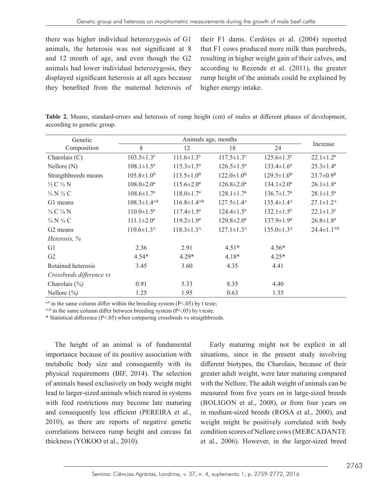there was higher individual heterozygosis of G1 animals, the heterosis was not significant at 8 and 12 month of age, and even though the G2 animals had lower individual heterozygosis, they displayed significant heterosis at all ages because they benefited from the maternal heterosis of their F1 dams. Cerdótes et al. (2004) reported that F1 cows produced more milk than purebreds, resulting in higher weight gain of their calves, and according to Rezende et al. (2011), the greater rump height of the animals could be explained by higher energy intake.

**Table 2.** Means, standard-errors and heterosis of rump height (cm) of males at different phases of development, according to genetic group.

| Genetic                         | Animals age, months           |                               |                         |                         |                        |
|---------------------------------|-------------------------------|-------------------------------|-------------------------|-------------------------|------------------------|
| Composition                     | 8                             | 12                            | 18                      | 24                      | Increase               |
| Charolais $(C)$                 | $103.5 \pm 1.3^b$             | $111.6 \pm 1.3^b$             | $117.5 \pm 1.3^b$       | $125.6 \pm 1.3^b$       | $22.1 \pm 1.2^a$       |
| $N$ ellore $(N)$                | $108.1 \pm 1.5^{\mathrm{a}}$  | $115.3 \pm 1.5^{\text{a}}$    | $126.5 \pm 1.5^{\circ}$ | $133.4 \pm 1.6^a$       | $25.3 \pm 1.4^a$       |
| Straigthbreeds means            | $105.8 \pm 1.0^B$             | $113.5 \pm 1.0^B$             | $122.0 \pm 1.0^{\rm B}$ | $129.5 \pm 1.0^{\rm B}$ | $23.7 \pm 0.9^{\rm B}$ |
| $\frac{1}{2}$ C $\frac{1}{2}$ N | $108.0 \pm 2.0^{\circ}$       | $115.6 \pm 2.0^{\circ}$       | $126.8 \pm 2.0^a$       | $134.1 \pm 2.0^a$       | $26.1 \pm 1.8^a$       |
| $\frac{1}{2}$ N $\frac{1}{2}$ C | $108.6 \pm 1.7^{\rm a}$       | $118.0 \pm 1.7^{\rm a}$       | $128.1 \pm 1.7^a$       | $136.7 \pm 1.7^{\rm a}$ | $28.1 \pm 1.5^a$       |
| G1 means                        | $108.3 \pm 1.4$ <sup>AB</sup> | $116.8 \pm 1.4$ <sup>AB</sup> | $127.5 \pm 1.4^{\rm A}$ | $135.4 \pm 1.4^{\rm A}$ | $27.1 \pm 1.2^{\rm A}$ |
| 3/4 C 1/4 N                     | $110.0 \pm 1.5^{\mathrm{a}}$  | $117.4 \pm 1.5^{\mathrm{a}}$  | $124.4 \pm 1.5^{\circ}$ | $132.1 \pm 1.5^b$       | $22.1 \pm 1.3^b$       |
| $\frac{3}{4}$ N $\frac{1}{4}$ C | $111.1 \pm 2.0^a$             | $119.2 \pm 1.9^a$             | $129.8 \pm 2.0^a$       | $137.9 \pm 1.9^a$       | $26.8 \pm 1.8^a$       |
| G <sub>2</sub> means            | $110.6 \pm 1.3^{\text{A}}$    | $118.3 \pm 1.3^{\rm A}$       | $127.1 \pm 1.3^{\rm A}$ | $135.0 \pm 1.3^{\rm A}$ | $24.4 \pm 1.1^{AB}$    |
| Heterosis, %                    |                               |                               |                         |                         |                        |
| G1                              | 2.36                          | 2.91                          | $4.51*$                 | $4.56*$                 |                        |
| G <sub>2</sub>                  | $4.54*$                       | $4.29*$                       | $4.18*$                 | $4.25*$                 |                        |
| Retained heterosis              | 3.45                          | 3.60                          | 4.35                    | 4.41                    |                        |
| Crossbreds difference vs        |                               |                               |                         |                         |                        |
| Charolais $(\% )$               | 0.91                          | 5.33                          | 8.35                    | 4.40                    |                        |
| Nellore $(\% )$                 | 1.25                          | 1.95                          | 0.63                    | 1.35                    |                        |

<sup>a,b</sup> in the same column differ within the breeding system ( $P < .05$ ) by t teste;

 $A,B$  in the same column differ between breeding system (P<.05) by t teste.

\* Statistical difference (P<.05) when comparing crossbreds vs straigthbreeds.

The height of an animal is of fundamental importance because of its positive association with metabolic body size and consequently with its physical requirements (BIF, 2014). The selection of animals based exclusively on body weight might lead to larger-sized animals which reared in systems with feed restrictions may become late maturing and consequently less efficient (PEREIRA et al., 2010), as there are reports of negative genetic correlations between rump height and carcass fat thickness (YOKOO et al., 2010).

Early maturing might not be explicit in all situations, since in the present study involving different biotypes, the Charolais, because of their greater adult weight, were later maturing compared with the Nellore. The adult weight of animals can be measured from five years on in large-sized breeds (BOLIGON et al., 2008), or from four years on in medium-sized breeds (ROSA et al., 2000), and weight might be positively correlated with body condition scores of Nellore cows (MERCADANTE et al., 2006). However, in the larger-sized breed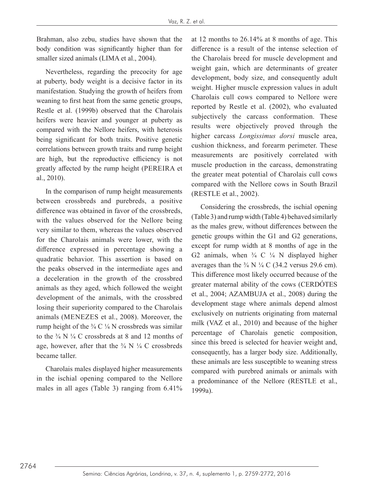Brahman, also zebu, studies have shown that the body condition was significantly higher than for smaller sized animals (LIMA et al., 2004).

Nevertheless, regarding the precocity for age at puberty, body weight is a decisive factor in its manifestation. Studying the growth of heifers from weaning to first heat from the same genetic groups, Restle et al. (1999b) observed that the Charolais heifers were heavier and younger at puberty as compared with the Nellore heifers, with heterosis being significant for both traits. Positive genetic correlations between growth traits and rump height are high, but the reproductive efficiency is not greatly affected by the rump height (PEREIRA et al., 2010).

In the comparison of rump height measurements between crossbreds and purebreds, a positive difference was obtained in favor of the crossbreds, with the values observed for the Nellore being very similar to them, whereas the values observed for the Charolais animals were lower, with the difference expressed in percentage showing a quadratic behavior. This assertion is based on the peaks observed in the intermediate ages and a deceleration in the growth of the crossbred animals as they aged, which followed the weight development of the animals, with the crossbred losing their superiority compared to the Charolais animals (MENEZES et al., 2008). Moreover, the rump height of the  $\frac{3}{4}C \frac{1}{4}N$  crossbreds was similar to the  $\frac{3}{4}$  N  $\frac{1}{4}$  C crossbreds at 8 and 12 months of age, however, after that the  $\frac{3}{4}$  N  $\frac{1}{4}$  C crossbreds became taller.

Charolais males displayed higher measurements in the ischial opening compared to the Nellore males in all ages (Table 3) ranging from 6.41%

at 12 months to 26.14% at 8 months of age. This difference is a result of the intense selection of the Charolais breed for muscle development and weight gain, which are determinants of greater development, body size, and consequently adult weight. Higher muscle expression values in adult Charolais cull cows compared to Nellore were reported by Restle et al. (2002), who evaluated subjectively the carcass conformation. These results were objectively proved through the higher carcass *Longissimus dorsi* muscle area, cushion thickness, and forearm perimeter. These measurements are positively correlated with muscle production in the carcass, demonstrating the greater meat potential of Charolais cull cows compared with the Nellore cows in South Brazil (RESTLE et al., 2002).

Considering the crossbreds, the ischial opening (Table 3) and rump width (Table 4) behaved similarly as the males grew, without differences between the genetic groups within the G1 and G2 generations, except for rump width at 8 months of age in the G2 animals, when  $\frac{3}{4}$  C  $\frac{1}{4}$  N displayed higher averages than the  $\frac{3}{4}$  N  $\frac{1}{4}$  C (34.2 versus 29.6 cm). This difference most likely occurred because of the greater maternal ability of the cows (CERDÓTES et al., 2004; AZAMBUJA et al., 2008) during the development stage where animals depend almost exclusively on nutrients originating from maternal milk (VAZ et al., 2010) and because of the higher percentage of Charolais genetic composition, since this breed is selected for heavier weight and, consequently, has a larger body size. Additionally, these animals are less susceptible to weaning stress compared with purebred animals or animals with a predominance of the Nellore (RESTLE et al., 1999a).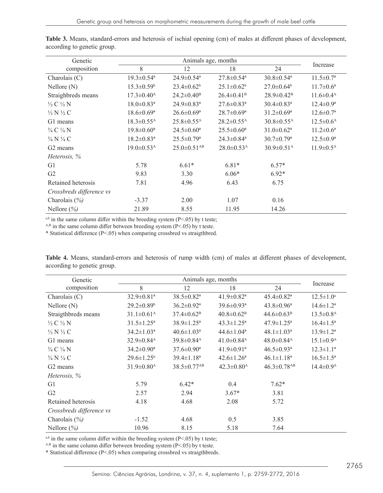| Genetic                         |                              |                               |                              |                              |                        |
|---------------------------------|------------------------------|-------------------------------|------------------------------|------------------------------|------------------------|
| composition                     | 8                            | 12                            | 18                           | 24                           | Increase               |
| Charolais $(C)$                 | $19.3 \pm 0.54$ <sup>a</sup> | $24.9 \pm 0.54$ <sup>a</sup>  | $27.8 \pm 0.54$ <sup>a</sup> | $30.8 \pm 0.54$ <sup>a</sup> | $11.5 \pm 0.7^{\rm a}$ |
| $N$ ellore $(N)$                | $15.3 \pm 0.59$ <sup>b</sup> | $23.4 \pm 0.62^b$             | $25.1 \pm 0.62^b$            | $27.0 \pm 0.64^b$            | $11.7 \pm 0.6^{\circ}$ |
| Straighbreds means              | $17.3 \pm 0.40^{\rm A}$      | $24.2 \pm 0.40^{\rm B}$       | $26.4 \pm 0.41^{\rm B}$      | $28.9 \pm 0.42^B$            | $11.6 \pm 0.4^{\rm A}$ |
| $\frac{1}{2}$ C $\frac{1}{2}$ N | $18.0 \pm 0.83$ <sup>a</sup> | $24.9 \pm 0.83$ <sup>a</sup>  | $27.6 \pm 0.83$ <sup>a</sup> | $30.4 \pm 0.83$ <sup>a</sup> | $12.4 \pm 0.9^{\rm a}$ |
| $\frac{1}{2}$ N $\frac{1}{2}$ C | $18.6 \pm 0.69$ <sup>a</sup> | $26.6 \pm 0.69^{\mathrm{a}}$  | $28.7 \pm 0.69^{\mathrm{a}}$ | $31.2 \pm 0.69$ <sup>a</sup> | $12.6 \pm 0.7^{\rm a}$ |
| G1 means                        | $18.3 \pm 0.55$ <sup>A</sup> | $25.8 \pm 0.55$ <sup>A</sup>  | $28.2 \pm 0.55^{\rm A}$      | $30.8 \pm 0.55$ <sup>A</sup> | $12.5 \pm 0.6^{\rm A}$ |
| $\frac{3}{4}C\frac{1}{4}N$      | $19.8 \pm 0.60^a$            | $24.5 \pm 0.60^a$             | $25.5 \pm 0.60^{\circ}$      | $31.0 \pm 0.62^a$            | $11.2 \pm 0.6^{\rm a}$ |
| $\frac{3}{4}$ N $\frac{1}{4}$ C | $18.2 \pm 0.83$ <sup>a</sup> | $25.5 \pm 0.79$ <sup>a</sup>  | $24.3 \pm 0.84$ <sup>a</sup> | $30.7 \pm 0.79$ <sup>a</sup> | $12.5 \pm 0.9^{\rm a}$ |
| G <sub>2</sub> means            | $19.0 \pm 0.53$ <sup>A</sup> | $25.0 \pm 0.51$ <sup>AB</sup> | $28.0 \pm 0.53$ <sup>A</sup> | $30.9 \pm 0.51$ <sup>A</sup> | $11.9 \pm 0.5^{\rm A}$ |
| Heterosis, %                    |                              |                               |                              |                              |                        |
| G1                              | 5.78                         | $6.61*$                       | $6.81*$                      | $6.57*$                      |                        |
| G <sub>2</sub>                  | 9.83                         | 3.30                          | $6.06*$                      | $6.92*$                      |                        |
| Retained heterosis              | 7.81                         | 4.96                          | 6.43                         | 6.75                         |                        |
| Crossbreds difference vs        |                              |                               |                              |                              |                        |
| Charolais $(\% )$               | $-3.37$                      | 2.00                          | 1.07                         | 0.16                         |                        |
| Nellore $(\% )$                 | 21.89                        | 8.55                          | 11.95                        | 14.26                        |                        |

**Table 3.** Means, standard-errors and heterosis of ischial opening (cm) of males at different phases of development, according to genetic group.

<sup>a,b</sup> in the same column differ within the breeding system (P<.05) by t teste;

 $A,B$  in the same column differ between breeding system (P<.05) by t teste.

\* Statistical difference (P<.05) when comparing crossbred vs straigthbred.

**Table 4.** Means, standard-errors and heterosis of rump width (cm) of males at different phases of development, according to genetic group.

| Genetic                         | Animals age, months          |                               |                              |                               |                             |
|---------------------------------|------------------------------|-------------------------------|------------------------------|-------------------------------|-----------------------------|
| composition                     | 8                            | 12                            | 18                           | 24                            | Increase                    |
| Charolais $(C)$                 | 32.9±0.81 <sup>a</sup>       | $38.5 \pm 0.82$ <sup>a</sup>  | $41.9 \pm 0.82$ <sup>a</sup> | $45.4 \pm 0.82$ <sup>a</sup>  | $12.5 \pm 1.0^{\circ}$      |
| $N$ ellore $(N)$                | $29.2 \pm 0.89$ <sup>b</sup> | $36.2 \pm 0.92^a$             | $39.6 \pm 0.93$ <sup>a</sup> | $43.8 \pm 0.96^{\circ}$       | $14.6 \pm 1.2^a$            |
| Straigthbreds means             | $31.1 \pm 0.61^{\text{A}}$   | $37.4 \pm 0.62^{\rm B}$       | $40.8 \pm 0.62^{\rm B}$      | $44.6 \pm 0.63^{\rm B}$       | $13.5 \pm 0.8$ <sup>A</sup> |
| $\frac{1}{2}$ C $\frac{1}{2}$ N | $31.5 \pm 1.25^{\circ}$      | $38.9 \pm 1.25^{\circ}$       | $43.3 \pm 1.25^{\circ}$      | $47.9 \pm 1.25^{\mathrm{a}}$  | $16.4 \pm 1.5^{\circ}$      |
| $\frac{1}{2}N\frac{1}{2}C$      | $34.2 \pm 1.03^{\circ}$      | $40.6 \pm 1.03^{\text{a}}$    | $44.6 \pm 1.04^a$            | $48.1 \pm 1.03^a$             | $13.9 \pm 1.2^a$            |
| G1 means                        | $32.9 \pm 0.84$ <sup>A</sup> | $39.8 \pm 0.84$ <sup>A</sup>  | 41.0 $\pm$ 0.84 <sup>A</sup> | $48.0 \pm 0.84$ <sup>A</sup>  | $15.1 \pm 0.9^{\rm A}$      |
| $\frac{3}{4}C\frac{1}{4}N$      | $34.2 \pm 0.90^{\mathrm{a}}$ | $37.6 \pm 0.90^{\mathrm{a}}$  | $41.9 \pm 0.91$ <sup>a</sup> | $46.5 \pm 0.93$ <sup>a</sup>  | $12.3 \pm 1.1^a$            |
| $\frac{3}{4}$ N $\frac{1}{4}$ C | $29.6 \pm 1.25^{\circ}$      | $39.4 \pm 1.18^a$             | $42.6 \pm 1.26^a$            | $46.1 \pm 1.18^a$             | $16.5 \pm 1.5^a$            |
| G <sub>2</sub> means            | $31.9 \pm 0.80$ <sup>A</sup> | $38.5 \pm 0.77$ <sup>AB</sup> | $42.3 \pm 0.80^{\rm A}$      | $46.3 \pm 0.78$ <sup>AB</sup> | $14.4 \pm 0.9^{\rm A}$      |
| Heterosis, %                    |                              |                               |                              |                               |                             |
| G1                              | 5.79                         | $6.42*$                       | 0.4                          | $7.62*$                       |                             |
| G2                              | 2.57                         | 2.94                          | $3.67*$                      | 3.81                          |                             |
| Retained heterosis              | 4.18                         | 4.68                          | 2.08                         | 5.72                          |                             |
| Crossbreds difference vs        |                              |                               |                              |                               |                             |
| Charolais (%)                   | $-1.52$                      | 4.68                          | 0.5                          | 3.85                          |                             |
| Nellore $(\% )$                 | 10.96                        | 8.15                          | 5.18                         | 7.64                          |                             |

<sup>a,b</sup> in the same column differ within the breeding system ( $P$  < .05) by t teste;

 $A,B$  in the same column differ between breeding system (P<.05) by t teste.

\* Statistical difference (P<.05) when comparing crossbred vs straigthbreds.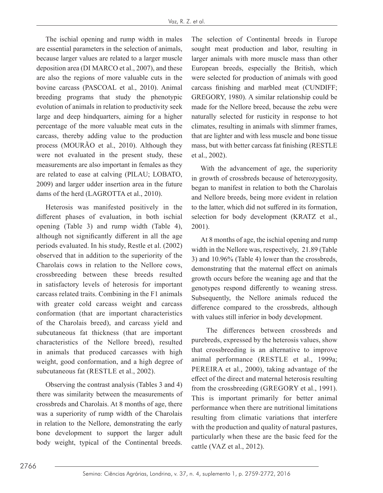The ischial opening and rump width in males are essential parameters in the selection of animals, because larger values are related to a larger muscle deposition area (DI MARCO et al., 2007), and these are also the regions of more valuable cuts in the bovine carcass (PASCOAL et al., 2010). Animal breeding programs that study the phenotypic evolution of animals in relation to productivity seek large and deep hindquarters, aiming for a higher percentage of the more valuable meat cuts in the carcass, thereby adding value to the production process (MOURÃO et al., 2010). Although they were not evaluated in the present study, these measurements are also important in females as they are related to ease at calving (PILAU; LOBATO, 2009) and larger udder insertion area in the future dams of the herd (LAGROTTA et al., 2010).

Heterosis was manifested positively in the different phases of evaluation, in both ischial opening (Table 3) and rump width (Table 4), although not significantly different in all the age periods evaluated. In his study, Restle et al. (2002) observed that in addition to the superiority of the Charolais cows in relation to the Nellore cows, crossbreeding between these breeds resulted in satisfactory levels of heterosis for important carcass related traits. Combining in the F1 animals with greater cold carcass weight and carcass conformation (that are important characteristics of the Charolais breed), and carcass yield and subcutaneous fat thickness (that are important characteristics of the Nellore breed), resulted in animals that produced carcasses with high weight, good conformation, and a high degree of subcutaneous fat (RESTLE et al., 2002).

Observing the contrast analysis (Tables 3 and 4) there was similarity between the measurements of crossbreds and Charolais. At 8 months of age, there was a superiority of rump width of the Charolais in relation to the Nellore, demonstrating the early bone development to support the larger adult body weight, typical of the Continental breeds.

The selection of Continental breeds in Europe sought meat production and labor, resulting in larger animals with more muscle mass than other European breeds, especially the British, which were selected for production of animals with good carcass finishing and marbled meat (CUNDIFF; GREGORY, 1980). A similar relationship could be made for the Nellore breed, because the zebu were naturally selected for rusticity in response to hot climates, resulting in animals with slimmer frames, that are lighter and with less muscle and bone tissue mass, but with better carcass fat finishing (RESTLE et al., 2002).

With the advancement of age, the superiority in growth of crossbreds because of heterozygosity, began to manifest in relation to both the Charolais and Nellore breeds, being more evident in relation to the latter, which did not suffered in its formation, selection for body development (KRATZ et al., 2001).

At 8 months of age, the ischial opening and rump width in the Nellore was, respectively, 21.89 (Table 3) and 10.96% (Table 4) lower than the crossbreds, demonstrating that the maternal effect on animals growth occurs before the weaning age and that the genotypes respond differently to weaning stress. Subsequently, the Nellore animals reduced the difference compared to the crossbreds, although with values still inferior in body development.

 The differences between crossbreds and purebreds, expressed by the heterosis values, show that crossbreeding is an alternative to improve animal performance (RESTLE et al., 1999a; PEREIRA et al., 2000), taking advantage of the effect of the direct and maternal heterosis resulting from the crossbreeding (GREGORY et al., 1991). This is important primarily for better animal performance when there are nutritional limitations resulting from climatic variations that interfere with the production and quality of natural pastures, particularly when these are the basic feed for the cattle (VAZ et al., 2012).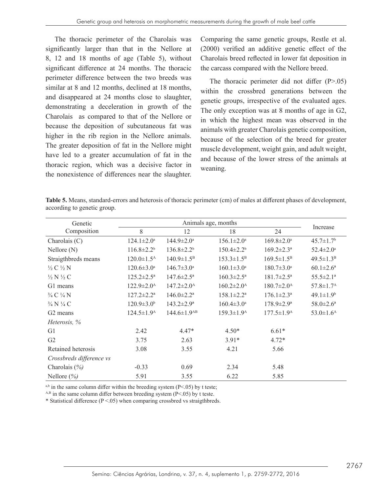The thoracic perimeter of the Charolais was significantly larger than that in the Nellore at 8, 12 and 18 months of age (Table 5), without significant difference at 24 months. The thoracic perimeter difference between the two breeds was similar at 8 and 12 months, declined at 18 months, and disappeared at 24 months close to slaughter, demonstrating a deceleration in growth of the Charolais as compared to that of the Nellore or because the deposition of subcutaneous fat was higher in the rib region in the Nellore animals. The greater deposition of fat in the Nellore might have led to a greater accumulation of fat in the thoracic region, which was a decisive factor in the nonexistence of differences near the slaughter.

Comparing the same genetic groups, Restle et al. (2000) verified an additive genetic effect of the Charolais breed reflected in lower fat deposition in the carcass compared with the Nellore breed.

The thoracic perimeter did not differ (P>.05) within the crossbred generations between the genetic groups, irrespective of the evaluated ages. The only exception was at 8 months of age in G2, in which the highest mean was observed in the animals with greater Charolais genetic composition, because of the selection of the breed for greater muscle development, weight gain, and adult weight, and because of the lower stress of the animals at weaning.

**Table 5.** Means, standard-errors and heterosis of thoracic perimeter (cm) of males at different phases of development, according to genetic group.

| Genetic                         | Animals age, months          |                            |                              |                              |                             |
|---------------------------------|------------------------------|----------------------------|------------------------------|------------------------------|-----------------------------|
| Composition                     | 8                            | 12                         | 18                           | 24                           | Increase                    |
| Charolais $(C)$                 | $124.1 \pm 2.0^{\circ}$      | $144.9 \pm 2.0^{\text{a}}$ | $156.1 \pm 2.0^{\circ}$      | $169.8 \pm 2.0^{\circ}$      | $45.7 \pm 1.7$ <sup>b</sup> |
| $N$ ellore $(N)$                | $116.8 \pm 2.2^b$            | $136.8 \pm 2.2^b$          | $150.4 \pm 2.2^b$            | $169.2 \pm 2.3^a$            | $52.4 \pm 2.0^{\circ}$      |
| Straigthbreds means             | $120.0 \pm 1.5^{\text{A}}$   | $140.9 \pm 1.5^{\rm B}$    | $153.3 \pm 1.5^B$            | $169.5 \pm 1.5^{\rm B}$      | $49.5 \pm 1.3^B$            |
| $\frac{1}{2}$ C $\frac{1}{2}$ N | $120.6 \pm 3.0^{\circ}$      | $146.7 \pm 3.0^{\text{a}}$ | $160.1 \pm 3.0^a$            | $180.7 \pm 3.0^{\mathrm{a}}$ | $60.1 \pm 2.6^a$            |
| $\frac{1}{2}$ N $\frac{1}{2}$ C | $125.2 \pm 2.5^{\mathrm{a}}$ | $147.6 \pm 2.5^{\circ}$    | $160.3 \pm 2.5^{\circ}$      | $181.7 \pm 2.5^{\circ}$      | $55.5 \pm 2.1^a$            |
| G1 means                        | $122.9 \pm 2.0^{\text{A}}$   | $147.2 \pm 2.0^{\text{A}}$ | $160.2 \pm 2.0^{\text{A}}$   | $180.7 \pm 2.0^{\rm A}$      | $57.8 \pm 1.7^{\rm A}$      |
| $\frac{3}{4}$ C $\frac{1}{4}$ N | $127.2 \pm 2.2^a$            | $146.0 \pm 2.2^a$          | $158.1 \pm 2.2^a$            | $176.1 \pm 2.3^{\text{a}}$   | $49.1 \pm 1.9^b$            |
| $\frac{3}{4}$ N $\frac{1}{4}$ C | $120.9 \pm 3.0^{\circ}$      | $143.2 \pm 2.9^a$          | $160.4 \pm 3.0$ <sup>a</sup> | $178.9 \pm 2.9^{\mathrm{a}}$ | $58.0 \pm 2.6^{\circ}$      |
| G <sub>2</sub> means            | $124.5 \pm 1.9^{\rm A}$      | $144.6 \pm 1.9^{AB}$       | $159.3 \pm 1.9^{\text{A}}$   | $177.5 \pm 1.9^{\text{A}}$   | $53.0 \pm 1.6^{\rm A}$      |
| Heterosis, %                    |                              |                            |                              |                              |                             |
| G <sub>1</sub>                  | 2.42                         | $4.47*$                    | $4.50*$                      | $6.61*$                      |                             |
| G2                              | 3.75                         | 2.63                       | $3.91*$                      | $4.72*$                      |                             |
| Retained heterosis              | 3.08                         | 3.55                       | 4.21                         | 5.66                         |                             |
| Crossbreds difference vs        |                              |                            |                              |                              |                             |
| Charolais $(\% )$               | $-0.33$                      | 0.69                       | 2.34                         | 5.48                         |                             |
| Nellore $(\% )$                 | 5.91                         | 3.55                       | 6.22                         | 5.85                         |                             |

 $a,b$  in the same column differ within the breeding system (P<.05) by t teste;

 $A,B$  in the same column differ between breeding system (P<.05) by t teste.

\* Statistical difference  $(P < .05)$  when comparing crossbred vs straigthbreds.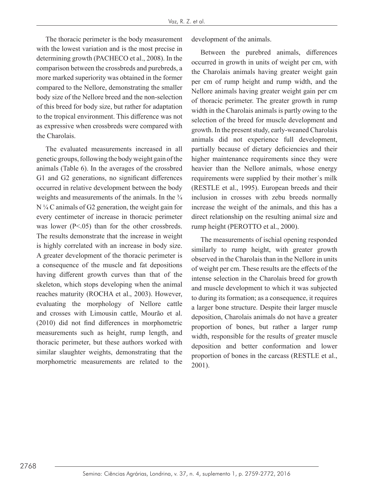The thoracic perimeter is the body measurement with the lowest variation and is the most precise in determining growth (PACHECO et al., 2008). In the comparison between the crossbreds and purebreds, a more marked superiority was obtained in the former compared to the Nellore, demonstrating the smaller body size of the Nellore breed and the non-selection of this breed for body size, but rather for adaptation to the tropical environment. This difference was not as expressive when crossbreds were compared with the Charolais.

The evaluated measurements increased in all genetic groups, following the body weight gain of the animals (Table 6). In the averages of the crossbred G1 and G2 generations, no significant differences occurred in relative development between the body weights and measurements of the animals. In the  $\frac{3}{4}$ N ¼ C animals of G2 generation, the weight gain for every centimeter of increase in thoracic perimeter was lower (P<.05) than for the other crossbreds. The results demonstrate that the increase in weight is highly correlated with an increase in body size. A greater development of the thoracic perimeter is a consequence of the muscle and fat depositions having different growth curves than that of the skeleton, which stops developing when the animal reaches maturity (ROCHA et al., 2003). However, evaluating the morphology of Nellore cattle and crosses with Limousin cattle, Mourão et al. (2010) did not find differences in morphometric measurements such as height, rump length, and thoracic perimeter, but these authors worked with similar slaughter weights, demonstrating that the morphometric measurements are related to the

development of the animals.

Between the purebred animals, differences occurred in growth in units of weight per cm, with the Charolais animals having greater weight gain per cm of rump height and rump width, and the Nellore animals having greater weight gain per cm of thoracic perimeter. The greater growth in rump width in the Charolais animals is partly owing to the selection of the breed for muscle development and growth. In the present study, early-weaned Charolais animals did not experience full development, partially because of dietary deficiencies and their higher maintenance requirements since they were heavier than the Nellore animals, whose energy requirements were supplied by their mother´s milk (RESTLE et al., 1995). European breeds and their inclusion in crosses with zebu breeds normally increase the weight of the animals, and this has a direct relationship on the resulting animal size and rump height (PEROTTO et al., 2000).

The measurements of ischial opening responded similarly to rump height, with greater growth observed in the Charolais than in the Nellore in units of weight per cm. These results are the effects of the intense selection in the Charolais breed for growth and muscle development to which it was subjected to during its formation; as a consequence, it requires a larger bone structure. Despite their larger muscle deposition, Charolais animals do not have a greater proportion of bones, but rather a larger rump width, responsible for the results of greater muscle deposition and better conformation and lower proportion of bones in the carcass (RESTLE et al., 2001).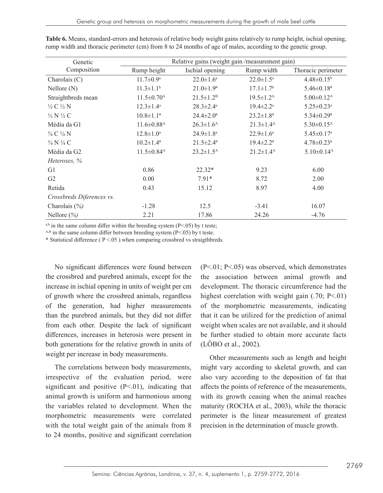| Genetic                         | Relative gains (weight gain /measurement gain) |                           |                             |                              |  |
|---------------------------------|------------------------------------------------|---------------------------|-----------------------------|------------------------------|--|
| Composition                     | Rump height                                    | Ischial opening           | Rump width                  | Thoracic perimeter           |  |
| Charolais (C)                   | $11.7 \pm 0.9^{\mathrm{a}}$                    | $22.0 \pm 1.6^{\circ}$    | $22.0 \pm 1.5^{\circ}$      | $4.48 \pm 0.15^b$            |  |
| $N$ ellore $(N)$                | $11.3 \pm 1.1$ <sup>b</sup>                    | $21.0 \pm 1.9^a$          | $17.1 \pm 1.7$ <sup>b</sup> | $5.46 \pm 0.18$ <sup>a</sup> |  |
| Straightbreds mean              | $11.5 \pm 0.70$ <sup>A</sup>                   | $21.5 \pm 1.2^B$          | $19.5 \pm 1.2^{\text{A}}$   | $5.00 \pm 0.12$ <sup>A</sup> |  |
| $\frac{1}{2}$ C $\frac{1}{2}$ N | $12.3 \pm 1.4^a$                               | $28.3 \pm 2.4^a$          | $19.4 \pm 2.2^{\text{a}}$   | $5.25 \pm 0.23$ <sup>a</sup> |  |
| $\frac{1}{2}N\frac{1}{2}C$      | $10.8 \pm 1.1^a$                               | $24.4 \pm 2.0^a$          | $23.2 \pm 1.8^a$            | $5.34 \pm 0.29$ <sup>a</sup> |  |
| Média da G1                     | $11.6 \pm 0.88$ <sup>A</sup>                   | $26.3 \pm 1.6^{\rm A}$    | $21.3 \pm 1.4^{\rm A}$      | $5.30 \pm 0.15$ <sup>A</sup> |  |
| $\frac{3}{4}C\frac{1}{4}N$      | $12.8 \pm 1.0^{\circ}$                         | $24.9 \pm 1.8^{\text{a}}$ | $22.9 \pm 1.6^{\circ}$      | $5.45 \pm 0.17$ <sup>a</sup> |  |
| 3/4 N 1/4 C                     | $10.2 \pm 1.4^a$                               | $21.5 \pm 2.4^a$          | $19.4 \pm 2.2^a$            | $4.78 \pm 0.23^b$            |  |
| Média da G2                     | $11.5 \pm 0.84$ <sup>A</sup>                   | $23.2 \pm 1.5^{\text{A}}$ | $21.2 \pm 1.4^{\rm A}$      | $5.10 \pm 0.14$ <sup>A</sup> |  |
| Heteroses, %                    |                                                |                           |                             |                              |  |
| G1                              | 0.86                                           | $22.32*$                  | 9.23                        | 6.00                         |  |
| G2                              | 0.00                                           | $7.91*$                   | 8.72                        | 2.00                         |  |
| Retida                          | 0.43                                           | 15.12                     | 8.97                        | 4.00                         |  |
| Crossbreds Diferences vs.       |                                                |                           |                             |                              |  |
| Charolais $(\% )$               | $-1.28$                                        | 12.5                      | $-3.41$                     | 16.07                        |  |
| Nellore $(\% )$                 | 2.21                                           | 17.86                     | 24.26                       | $-4.76$                      |  |

**Table 6.** Means, standard-errors and heterosis of relative body weight gains relatively to rump height, ischial opening, rump width and thoracic perimeter (cm) from 8 to 24 months of age of males, according to the genetic group.

 $a,b$  in the same column differ within the breeding system (P<.05) by t teste;

 $A,B$  in the same column differ between breeding system (P<.05) by t teste.

\* Statistical difference ( $P < .05$ ) when comparing crossbred vs straigthbreds.

No significant differences were found between the crossbred and purebred animals, except for the increase in ischial opening in units of weight per cm of growth where the crossbred animals, regardless of the generation, had higher measurements than the purebred animals, but they did not differ from each other. Despite the lack of significant differences, increases in heterosis were present in both generations for the relative growth in units of weight per increase in body measurements.

The correlations between body measurements, irrespective of the evaluation period, were significant and positive  $(P<.01)$ , indicating that animal growth is uniform and harmonious among the variables related to development. When the morphometric measurements were correlated with the total weight gain of the animals from 8 to 24 months, positive and significant correlation (P<.01; P<.05) was observed, which demonstrates the association between animal growth and development. The thoracic circumference had the highest correlation with weight gain (.70; P<.01) of the morphometric measurements, indicating that it can be utilized for the prediction of animal weight when scales are not available, and it should be further studied to obtain more accurate facts (LÔBO et al., 2002).

Other measurements such as length and height might vary according to skeletal growth, and can also vary according to the deposition of fat that affects the points of reference of the measurements, with its growth ceasing when the animal reaches maturity (ROCHA et al., 2003), while the thoracic perimeter is the linear measurement of greatest precision in the determination of muscle growth.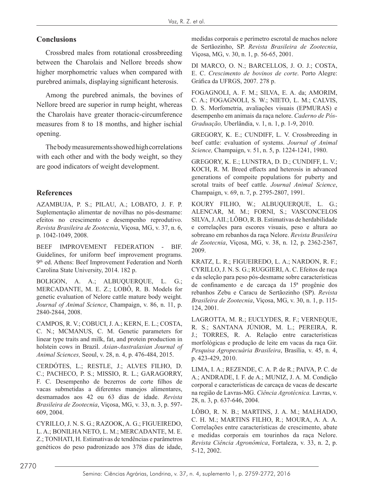## **Conclusions**

Crossbred males from rotational crossbreeding between the Charolais and Nellore breeds show higher morphometric values when compared with purebred animals, displaying significant heterosis.

Among the purebred animals, the bovines of Nellore breed are superior in rump height, whereas the Charolais have greater thoracic-circumference measures from 8 to 18 months, and higher ischial opening.

The body measurements showed high correlations with each other and with the body weight, so they are good indicators of weight development.

## **References**

AZAMBUJA, P. S.; PILAU, A.; LOBATO, J. F. P. Suplementação alimentar de novilhas no pós-desmame: efeitos no crescimento e desempenho reprodutivo. *Revista Brasileira de Zootecnia*, Viçosa, MG, v. 37, n. 6, p. 1042-1049, 2008.

BEEF IMPROVEMENT FEDERATION - BIF. Guidelines, for uniform beef improvement programs. 9<sup>th</sup> ed. Athens: Beef Improvement Federation and North Carolina State University, 2014. 182 p.

BOLIGON, A. A.; ALBUQUERQUE, L. G.; MERCADANTE, M. E. Z.; LOBÔ, R. B. Models for genetic evaluation of Nelore cattle mature body weight*. Journal of Animal Science*, Champaign, v. 86, n. 11, p. 2840-2844, 2008.

CAMPOS, R. V.; COBUCI, J. A.; KERN, E. L.; COSTA, C. N.; MCMANUS, C. M. Genetic parameters for linear type traits and milk, fat, and protein production in holstein cows in Brazil. *Asian-Australasian Journal of Animal Sciences,* Seoul, v. 28, n. 4, p. 476-484, 2015.

CERDÓTES, L.; RESTLE, J.; ALVES FILHO, D. C.; PACHECO, P. S.; MISSIO, R. L.; GARAGORRY, F. C. Desempenho de bezerros de corte filhos de vacas submetidas a diferentes manejos alimentares, desmamados aos 42 ou 63 dias de idade. *Revista Brasileira de Zootecnia*, Viçosa, MG, v. 33, n. 3, p. 597- 609, 2004.

CYRILLO, J. N. S. G.; RAZOOK, A. G.; FIGUEIREDO, L. A.; BONILHA NETO, L. M.; MERCADANTE, M. E. Z.; TONHATI, H. Estimativas de tendências e parâmetros genéticos do peso padronizado aos 378 dias de idade,

medidas corporais e perímetro escrotal de machos nelore de Sertãozinho, SP. *Revista Brasileira de Zootecnia*, Viçosa, MG, v. 30, n. 1, p. 56-65, 2001.

DI MARCO, O. N.; BARCELLOS, J. O. J.; COSTA, E. C. *Crescimento de bovinos de corte*. Porto Alegre: Gráfica da UFRGS, 2007. 278 p.

FOGAGNOLI, A. F. M.; SILVA, E. A. da; AMORIM, C. A.; FOGAGNOLI, S. W.; NIETO, L. M.; CALVIS, D. S. Morfometria, avaliações visuais (EPMURAS) e desempenho em animais da raça nelore. *Caderno de Pós-Graduação,* Uberlândia, v. 1, n. 1, p. 1-9, 2010.

GREGORY, K. E.; CUNDIFF, L. V. Crossbreeding in beef cattle: evaluation of systems. *Journal of Animal Science,* Champaign, v. 51, n. 5, p. 1224-1241, 1980.

GREGORY, K. E.; LUNSTRA, D. D.; CUNDIFF, L. V.; KOCH, R. M. Breed effects and heterosis in advanced generations of compoite populations for puberty and scrotal traits of beef cattle. *Journal Animal Science*, Champaign, v. 69, n. 7, p. 2795-2807, 1991.

KOURY FILHO, W.; ALBUQUERQUE, L. G.; ALENCAR, M. M.; FORNI, S.; VASCONCELOS SILVA, J. AII.; LÔBO, R. B. Estimativas de herdabilidade e correlações para escores visuais, peso e altura ao sobreano em rebanhos da raça Nelore. *Revista Brasileira de Zootecnia*, Viçosa, MG, v. 38, n. 12, p. 2362-2367, 2009.

KRATZ, L. R.; FIGUEIREDO, L. A.; NARDON, R. F.; CYRILLO, J. N. S. G.; RUGGIERI, A. C. Efeitos de raça e da seleção para peso pós-desmame sobre características de confinamento e de carcaça da 15ª progênie dos rebanhos Zebu e Caracu de Sertãozinho (SP). *Revista Brasileira de Zootecnia*, Viçosa, MG, v. 30, n. 1, p. 115- 124, 2001.

LAGROTTA, M. R.; EUCLYDES, R. F.; VERNEQUE, R. S.; SANTANA JÚNIOR, M. L.; PEREIRA, R. J.; TORRES, R. A. Relação entre características morfológicas e produção de leite em vacas da raça Gir. *Pesquisa Agropecuária Brasileira*, Brasília, v. 45, n. 4, p. 423-429, 2010.

LIMA, I. A.; REZENDE, C. A. P. de R.; PAIVA, P. C. de A.; ANDRADE, I. F. de A.; MUNIZ, J. A. M. Condição corporal e características de carcaça de vacas de descarte na região de Lavras-MG. *Ciência Agrotécnica.* Lavras, v. 28, n. 3, p. 637-646, 2004.

LÔBO, R. N. B.; MARTINS, J. A. M.; MALHADO, C. H. M.; MARTINS FILHO, R.; MOURA, A. A. A. Correlações entre características de crescimento, abate e medidas corporais em tourinhos da raça Nelore. *Revista Ciência Agronômica*, Fortaleza, v. 33, n. 2, p. 5-12, 2002.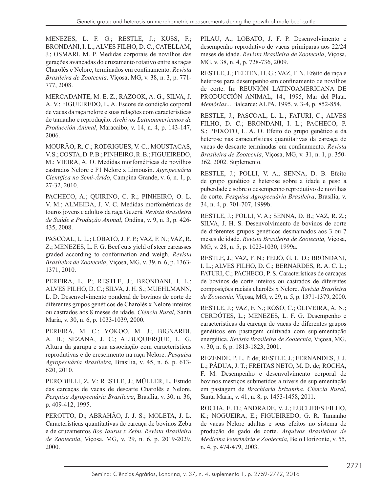MENEZES, L. F. G.; RESTLE, J.; KUSS, F.; BRONDANI, I. L.; ALVES FILHO, D. C.; CATELLAM, J.; OSMARI, M. P. Medidas corporais de novilhos das gerações avançadas do cruzamento rotativo entre as raças Charolês e Nelore, terminados em confinamento. *Revista Brasileira de Zootecnia,* Viçosa, MG, v. 38, n. 3, p. 771- 777, 2008.

MERCADANTE, M. E. Z.; RAZOOK, A. G.; SILVA, J. A. V.; FIGUEIREDO, L. A. Escore de condição corporal de vacas da raça nelore e suas relações com características de tamanho e reprodução. *Archivos Latinoamericanos de Producción Animal*, Maracaibo, v. 14, n. 4, p. 143-147, 2006.

MOURÃO, R. C.; RODRIGUES, V. C.; MOUSTACAS, V. S.; COSTA, D. P. B.; PINHEIRO, R. B.; FIGUEIREDO, M.; VIEIRA, A. O. Medidas morfométricas de novilhos castrados Nelore e F1 Nelore x Limousin. *Agropecuária Científica no Semi-Árido*, Campina Grande, v. 6, n. 1, p. 27-32, 2010.

PACHECO, A.; QUIRINO, C. R.; PINHEIRO, O. L. V. M.; ALMEIDA, J. V. C. Medidas morfométricas de touros jovens e adultos da raça Guzerá*. Revista Brasileira de Saúde e Produção Animal*, Ondina, v. 9, n. 3, p. 426- 435, 2008.

PASCOAL, L. L.; LOBATO, J. F. P.; VAZ, F. N.; VAZ, R. Z.; MENEZES, L. F. G. Beef cuts yield of steer carcasses graded according to conformation and weigh. *Revista Brasileira de Zootecnia*, Viçosa, MG, v. 39, n. 6, p. 1363- 1371, 2010.

PEREIRA, L. P.; RESTLE, J.; BRONDANI, I. L.; ALVES FILHO, D. C.; SILVA, J. H. S.; MUEHLMANN, L. D. Desenvolvimento ponderal de bovinos de corte de diferentes grupos genéticos de Charolês x Nelore inteiros ou castrados aos 8 meses de idade. *Ciência Rural,* Santa Maria, v. 30, n. 6, p. 1033-1039, 2000.

PEREIRA, M. C.; YOKOO, M. J.; BIGNARDI, A. B.; SEZANA, J. C.; ALBUQUERQUE, L. G. Altura da garupa e sua associação com características reprodutivas e de crescimento na raça Nelore. *Pesquisa Agropecuária Brasileira,* Brasília, v. 45, n. 6, p. 613- 620, 2010.

PEROBELLI, Z. V.; RESTLE, J.; MÜLLER, L. Estudo das carcaças de vacas de descarte Charolês e Nelore. *Pesquisa Agropecuária Brasileira*, Brasília, v. 30, n. 36, p. 409-412, 1995.

PEROTTO, D.; ABRAHÃO, J. J. S.; MOLETA, J. L. Características quantitativas de carcaça de bovinos Zebu e de cruzamentos *Bos Taurus x Zebu*. *Revista Brasileira de Zootecnia*, Viçosa, MG, v. 29, n. 6, p. 2019-2029, 2000.

PILAU, A.; LOBATO, J. F. P. Desenvolvimento e desempenho reprodutivo de vacas primíparas aos 22/24 meses de idade. *Revista Brasileira de Zootecnia*, Viçosa, MG, v. 38, n. 4, p. 728-736, 2009.

RESTLE, J.; FELTEN, H. G.; VAZ, F. N. Efeito de raça e heterose para desempenho em confinamento de novilhos de corte. In: REUNIÓN LATINOAMERICANA DE PRODUCCIÓN ANIMAL, 14., 1995, Mar del Plata. *Memórias...* Balcarce: ALPA, 1995. v. 3-4, p. 852-854.

RESTLE, J.; PASCOAL, L. L.; FATURI, C.; ALVES FILHO, D. C.; BRONDANI, I. L.; PACHECO, P. S.; PEIXOTO, L. A. O. Efeito do grupo genético e da heterose nas características quantitativas da carcaça de vacas de descarte terminadas em confinamento. *Revista Brasileira de Zootecnia*, Viçosa, MG, v. 31, n. 1, p. 350- 362, 2002. Suplemento.

RESTLE, J.; POLLI, V. A.; SENNA, D. B. Efeito de grupo genético e heterose sobre a idade e peso a puberdade e sobre o desempenho reprodutivo de novilhas de corte. *Pesquisa Agropecuária Brasileira*, Brasília, v. 34, n. 4, p. 701-707, 1999b.

RESTLE, J.; POLLI, V. A.; SENNA, D. B.; VAZ, R. Z.; SILVA, J. H. S. Desenvolvimento de bovinos de corte de diferentes grupos genéticos desmamados aos 3 ou 7 meses de idade. *Revista Brasileira de Zootecnia,* Viçosa, MG, v. 28, n. 5, p. 1023-1030, 1999a.

RESTLE, J.; VAZ, F. N.; FEIJO, G. L. D.; BRONDANI, I. L.; ALVES FILHO, D. C.; BERNARDES, R. A. C. L.; FATURI, C.; PACHECO, P. S. Características de carcaças de bovinos de corte inteiros ou castrados de diferentes composições raciais charolês x Nelore. *Revista Brasileira de Zootecnia,* Viçosa, MG, v. 29, n. 5, p. 1371-1379, 2000.

RESTLE, J.; VAZ, F. N.; ROSO, C.; OLIVEIRA, A. N.; CERDÓTES, L.; MENEZES, L. F. G. Desempenho e características da carcaça de vacas de diferentes grupos genéticos em pastagem cultivada com suplementação energética. *Revista Brasileira de Zootecnia,* Viçosa, MG, v. 30, n. 6, p. 1813-1823, 2001.

REZENDE, P. L. P. de; RESTLE, J.; FERNANDES, J. J. L.; PÁDUA, J. T.; FREITAS NETO, M. D. de; ROCHA, F. M. Desempenho e desenvolvimento corporal de bovinos mestiços submetidos a níveis de suplementação em pastagem de *Brachiaria brizantha*. *Ciência Rural*, Santa Maria, v. 41, n. 8, p. 1453-1458, 2011.

ROCHA, E. D.; ANDRADE, V. J.; EUCLIDES FILHO, K.; NOGUEIRA, E.; FIGUEIREDO, G. R. Tamanho de vacas Nelore adultas e seus efeitos no sistema de produção de gado de corte. *Arquivos Brasileiros de Medicina Veterinária e Zootecnia,* Belo Horizonte, v. 55, n. 4, p. 474-479, 2003.